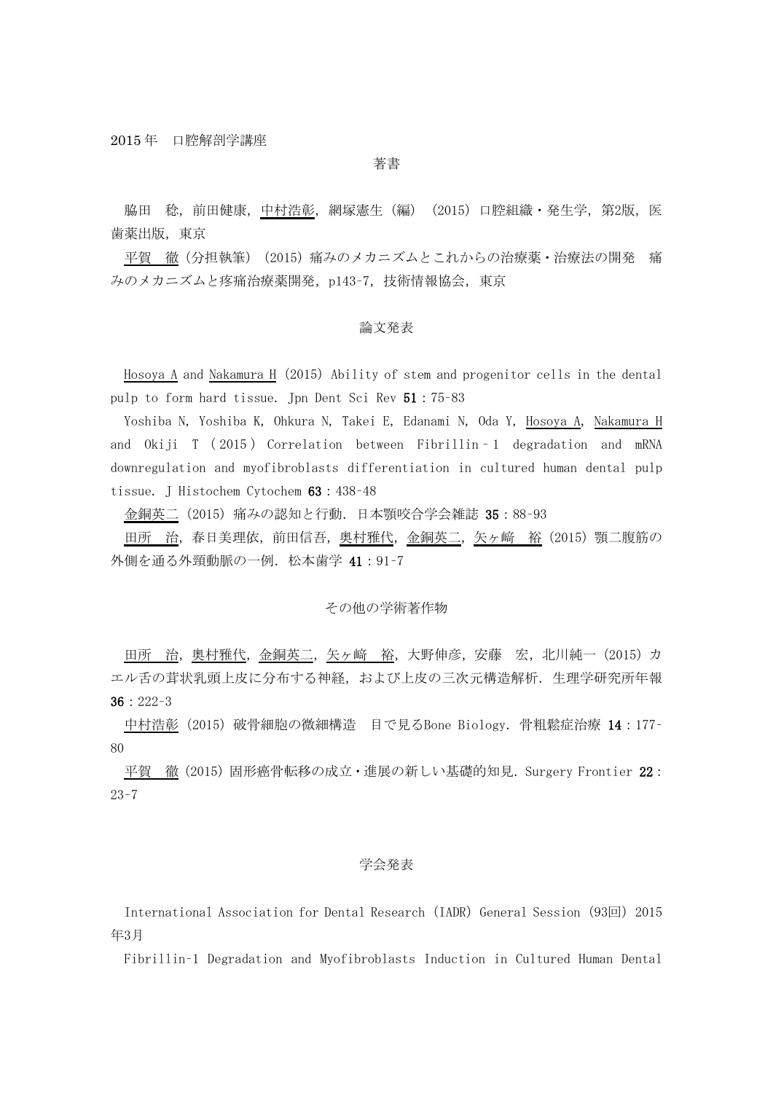## 著書

脇田 稔,前田健康,<u>中村浩彰</u>,網塚憲生(編)(2015)口腔組織・発生学,第2版,医 歯薬出版,東京

平賀 徹(分担執筆) (2015)痛みのメカニズムとこれからの治療薬・治療法の開発 痛 みのメカニズムと疼痛治療薬開発, p143-7, 技術情報協会, 東京

### 論文発表

Hosoya A and Nakamura H (2015) Ability of stem and progenitor cells in the dental pulp to form hard tissue. Jpn Dent Sci Rev 51:75–83

Yoshiba N, Yoshiba K, Ohkura N, Takei E, Edanami N, Oda Y, Hosoya A, Nakamura H and Okiji T ( 2015 ) Correlation between Fibrillin – 1 degradation and mRNA downregulation and myofibroblasts differentiation in cultured human dental pulp tissue. J Histochem Cytochem 63:438–48

金銅英二(2015)痛みの認知と行動.日本顎咬合学会雑誌 35:88–93

田所 治,春日美理依,前田信吾,奥村雅代,金銅英二,矢ヶ崎 裕 (2015) 顎二腹筋の 外側を通る外頸動脈の一例. 松本歯学 41:91-7

### その他の学術著作物

田所 治, 奥村雅代, 金銅英二, 矢ヶ崎 裕, 大野伸彦, 安藤 宏, 北川純一 (2015) カ エル舌の茸状乳頭上皮に分布する神経、および上皮の三次元構造解析. 生理学研究所年報 36:222–3

中村浩彰(2015)破骨細胞の微細構造 目で見るBone Biology. 骨粗鬆症治療 14:177– 80

平賀 徹(2015)固形癌骨転移の成立・進展の新しい基礎的知見. Surgery Frontier 22: 23–7

## 学会発表

International Association for Dental Research (IADR) General Session (93回) 2015 年3月

Fibrillin–1 Degradation and Myofibroblasts Induction in Cultured Human Dental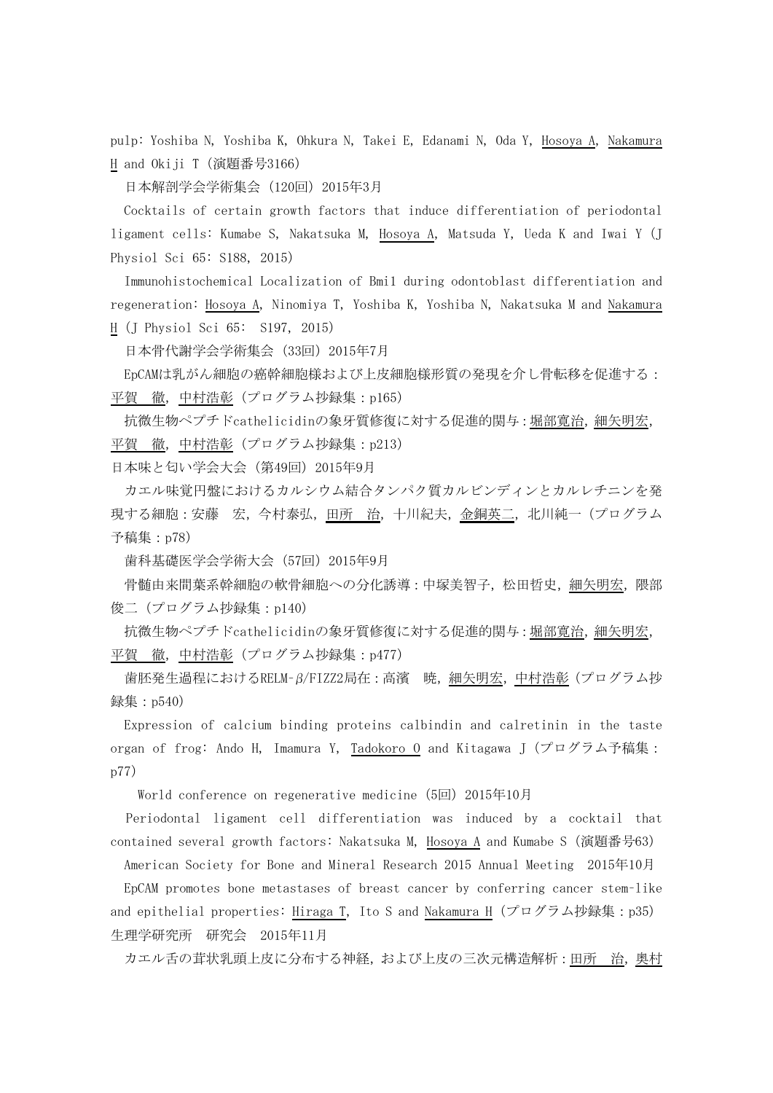pulp: Yoshiba N, Yoshiba K, Ohkura N, Takei E, Edanami N, Oda Y, Hosoya A, Nakamura H and Okiji T(演題番号3166)

日本解剖学会学術集会 (120回) 2015年3月

Cocktails of certain growth factors that induce differentiation of periodontal ligament cells: Kumabe S, Nakatsuka M, Hosoya A, Matsuda Y, Ueda K and Iwai Y(J Physiol Sci 65: S188, 2015)

Immunohistochemical Localization of Bmi1 during odontoblast differentiation and regeneration: Hosoya A, Ninomiya T, Yoshiba K, Yoshiba N, Nakatsuka M and Nakamura H(J Physiol Sci 65: S197, 2015)

日本骨代謝学会学術集会(33回)2015年7月

EpCAMは乳がん細胞の癌幹細胞様および上皮細胞様形質の発現を介し骨転移を促進する: 平賀 徹,中村浩彰(プログラム抄録集:p165)

抗微生物ペプチドcathelicidinの象牙質修復に対する促進的関与:堀部寛治,細矢明宏, 平賀 徹,中村浩彰(プログラム抄録集:p213)

日本味と匂い学会大会(第49回) 2015年9月

カエル味覚円盤におけるカルシウム結合タンパク質カルビンディンとカルレチニンを発 現する細胞:安藤 宏,今村泰弘,田所 治,十川紀夫,金銅英二,北川純一(プログラム 予稿集:p78)

歯科基礎医学会学術大会(57回)2015年9月

骨髄由来間葉系幹細胞の軟骨細胞への分化誘導:中塚美智子,松田哲史,細矢明宏,隈部 俊二(プログラム抄録集:p140)

抗微生物ペプチドcathelicidinの象牙質修復に対する促進的関与:堀部寛治,細矢明宏, 平賀 徹,中村浩彰(プログラム抄録集:p477)

歯胚発生過程におけるRELM-β/FIZZ2局在:高濱 暁, 細矢明宏, 中村浩彰(プログラム抄 録集:p540)

Expression of calcium binding proteins calbindin and calretinin in the taste organ of frog: Ando H, Imamura Y, Tadokoro 0 and Kitagawa J (プログラム予稿集: p77)

World conference on regenerative medicine (5回) 2015年10月

Periodontal ligament cell differentiation was induced by a cocktail that contained several growth factors: Nakatsuka M, <u>Hosoya A</u> and Kumabe S (演題番号63)

American Society for Bone and Mineral Research 2015 Annual Meeting 2015年10月

EpCAM promotes bone metastases of breast cancer by conferring cancer stem–like and epithelial properties: Hiraga T, Ito S and Nakamura H(プログラム抄録集:p35) 生理学研究所 研究会 2015年11月

カエル舌の茸状乳頭上皮に分布する神経,および上皮の三次元構造解析:田所 治,奥村